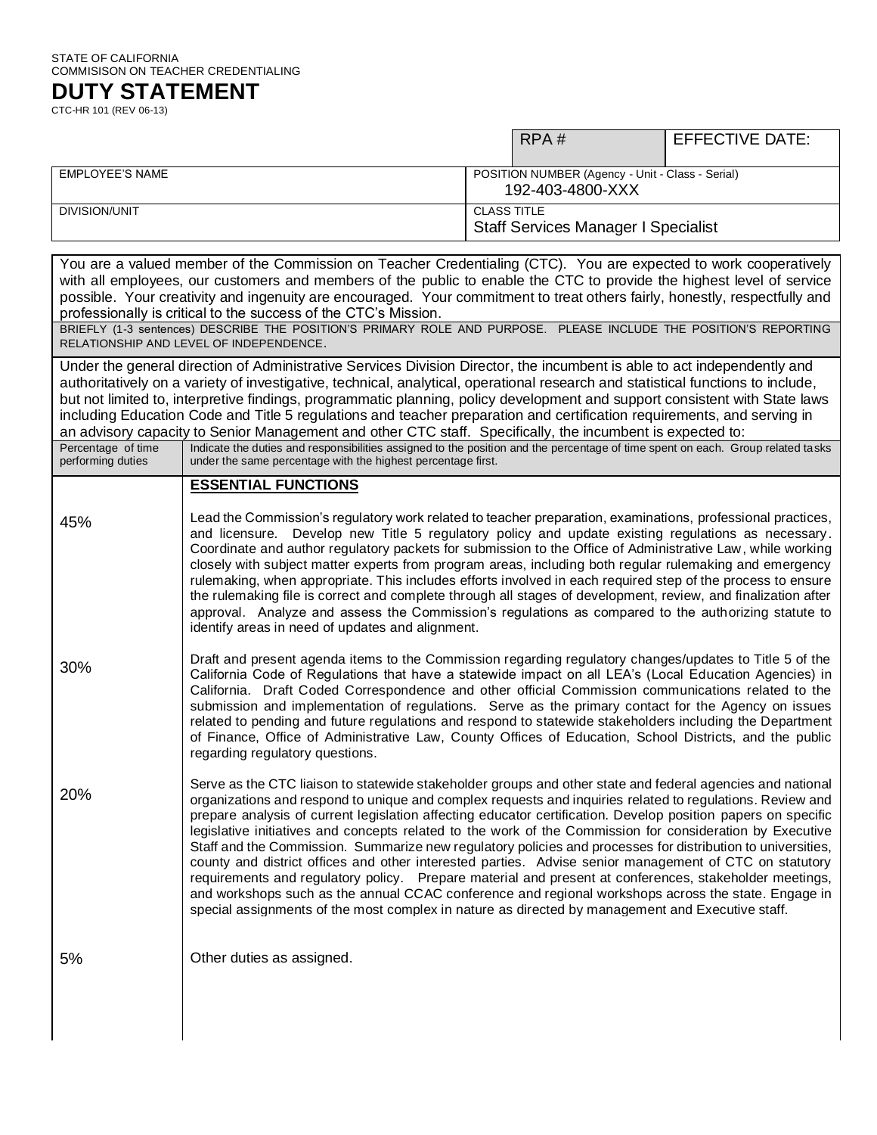## STATE OF CALIFORNIA COMMISISON ON TEACHER CREDENTIALING

**DUTY STATEMENT** CTC-HR 101 (REV 06-13)

|                 |                                                                      | RPA#                                       | <b>EFFECTIVE DATE:</b> |
|-----------------|----------------------------------------------------------------------|--------------------------------------------|------------------------|
| EMPLOYEE'S NAME | POSITION NUMBER (Agency - Unit - Class - Serial)<br>192-403-4800-XXX |                                            |                        |
| DIVISION/UNIT   | <b>CLASS TITLE</b>                                                   | <b>Staff Services Manager I Specialist</b> |                        |

You are a valued member of the Commission on Teacher Credentialing (CTC). You are expected to work cooperatively with all employees, our customers and members of the public to enable the CTC to provide the highest level of service possible. Your creativity and ingenuity are encouraged. Your commitment to treat others fairly, honestly, respectfully and professionally is critical to the success of the CTC's Mission.

BRIEFLY (1-3 sentences) DESCRIBE THE POSITION'S PRIMARY ROLE AND PURPOSE. PLEASE INCLUDE THE POSITION'S REPORTING RELATIONSHIP AND LEVEL OF INDEPENDENCE.

Under the general direction of Administrative Services Division Director, the incumbent is able to act independently and authoritatively on a variety of investigative, technical, analytical, operational research and statistical functions to include, but not limited to, interpretive findings, programmatic planning, policy development and support consistent with State laws including Education Code and Title 5 regulations and teacher preparation and certification requirements, and serving in an advisory capacity to Senior Management and other CTC staff. Specifically, the incumbent is expected to:

| Percentage of time<br>performing duties | Indicate the duties and responsibilities assigned to the position and the percentage of time spent on each. Group related tasks<br>under the same percentage with the highest percentage first.                                                                                                                                                                                                                                                                                                                                                                                                                                                                                                                                                                                                                                                                                                                                                                                                     |
|-----------------------------------------|-----------------------------------------------------------------------------------------------------------------------------------------------------------------------------------------------------------------------------------------------------------------------------------------------------------------------------------------------------------------------------------------------------------------------------------------------------------------------------------------------------------------------------------------------------------------------------------------------------------------------------------------------------------------------------------------------------------------------------------------------------------------------------------------------------------------------------------------------------------------------------------------------------------------------------------------------------------------------------------------------------|
|                                         | <b>ESSENTIAL FUNCTIONS</b>                                                                                                                                                                                                                                                                                                                                                                                                                                                                                                                                                                                                                                                                                                                                                                                                                                                                                                                                                                          |
| 45%                                     | Lead the Commission's regulatory work related to teacher preparation, examinations, professional practices,<br>and licensure. Develop new Title 5 regulatory policy and update existing regulations as necessary.<br>Coordinate and author regulatory packets for submission to the Office of Administrative Law, while working<br>closely with subject matter experts from program areas, including both regular rulemaking and emergency<br>rulemaking, when appropriate. This includes efforts involved in each required step of the process to ensure<br>the rulemaking file is correct and complete through all stages of development, review, and finalization after<br>approval. Analyze and assess the Commission's regulations as compared to the authorizing statute to<br>identify areas in need of updates and alignment.                                                                                                                                                               |
| 30%                                     | Draft and present agenda items to the Commission regarding regulatory changes/updates to Title 5 of the<br>California Code of Regulations that have a statewide impact on all LEA's (Local Education Agencies) in<br>California. Draft Coded Correspondence and other official Commission communications related to the<br>submission and implementation of regulations. Serve as the primary contact for the Agency on issues<br>related to pending and future regulations and respond to statewide stakeholders including the Department<br>of Finance, Office of Administrative Law, County Offices of Education, School Districts, and the public<br>regarding regulatory questions.                                                                                                                                                                                                                                                                                                            |
| 20%                                     | Serve as the CTC liaison to statewide stakeholder groups and other state and federal agencies and national<br>organizations and respond to unique and complex requests and inquiries related to regulations. Review and<br>prepare analysis of current legislation affecting educator certification. Develop position papers on specific<br>legislative initiatives and concepts related to the work of the Commission for consideration by Executive<br>Staff and the Commission. Summarize new regulatory policies and processes for distribution to universities,<br>county and district offices and other interested parties. Advise senior management of CTC on statutory<br>requirements and regulatory policy. Prepare material and present at conferences, stakeholder meetings,<br>and workshops such as the annual CCAC conference and regional workshops across the state. Engage in<br>special assignments of the most complex in nature as directed by management and Executive staff. |
| 5%                                      | Other duties as assigned.                                                                                                                                                                                                                                                                                                                                                                                                                                                                                                                                                                                                                                                                                                                                                                                                                                                                                                                                                                           |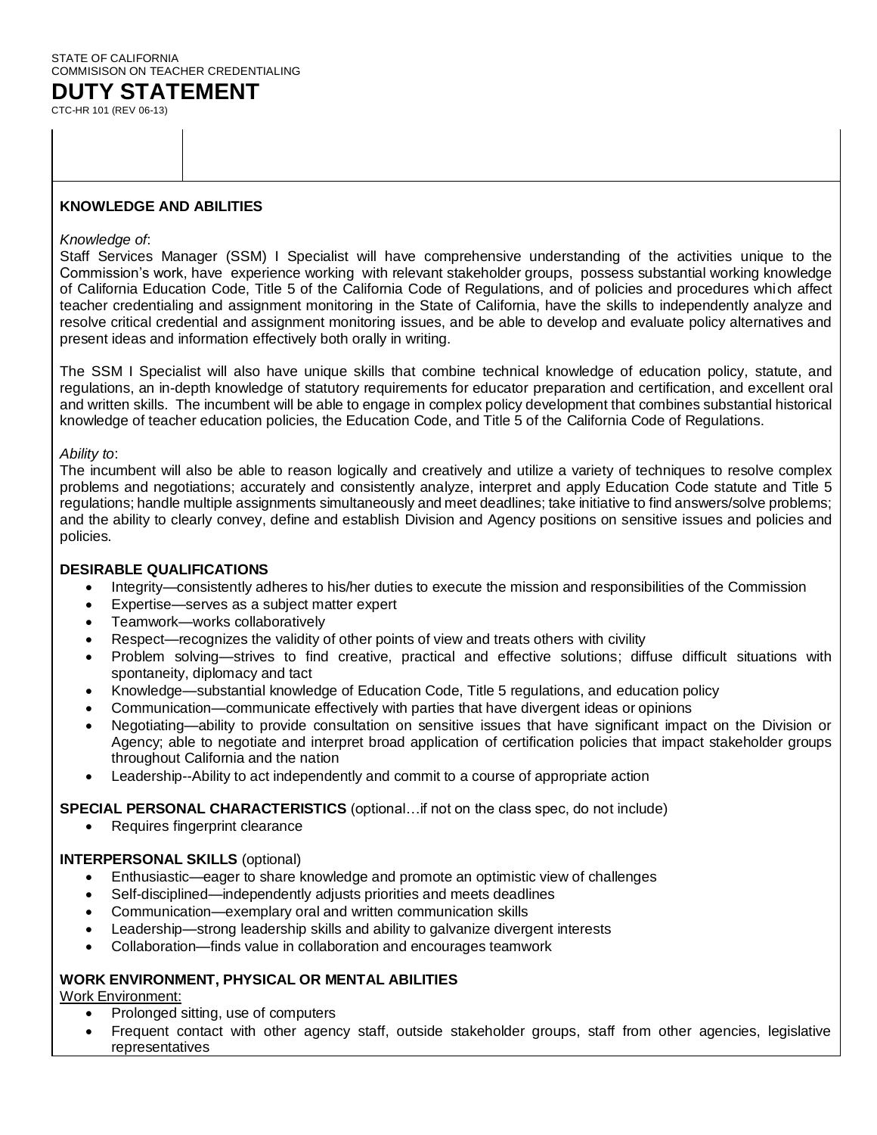# STATE OF CALIFORNIA COMMISISON ON TEACHER CREDENTIALING

**DUTY STATEMENT** CTC-HR 101 (REV 06-13)

## **KNOWLEDGE AND ABILITIES**

#### *Knowledge of*:

Staff Services Manager (SSM) I Specialist will have comprehensive understanding of the activities unique to the Commission's work, have experience working with relevant stakeholder groups, possess substantial working knowledge of California Education Code, Title 5 of the California Code of Regulations, and of policies and procedures which affect teacher credentialing and assignment monitoring in the State of California, have the skills to independently analyze and resolve critical credential and assignment monitoring issues, and be able to develop and evaluate policy alternatives and present ideas and information effectively both orally in writing.

The SSM I Specialist will also have unique skills that combine technical knowledge of education policy, statute, and regulations, an in-depth knowledge of statutory requirements for educator preparation and certification, and excellent oral and written skills. The incumbent will be able to engage in complex policy development that combines substantial historical knowledge of teacher education policies, the Education Code, and Title 5 of the California Code of Regulations.

#### *Ability to*:

The incumbent will also be able to reason logically and creatively and utilize a variety of techniques to resolve complex problems and negotiations; accurately and consistently analyze, interpret and apply Education Code statute and Title 5 regulations; handle multiple assignments simultaneously and meet deadlines; take initiative to find answers/solve problems; and the ability to clearly convey, define and establish Division and Agency positions on sensitive issues and policies and policies.

## **DESIRABLE QUALIFICATIONS**

- Integrity—consistently adheres to his/her duties to execute the mission and responsibilities of the Commission
- Expertise—serves as a subject matter expert
- Teamwork—works collaboratively
- Respect—recognizes the validity of other points of view and treats others with civility
- Problem solving—strives to find creative, practical and effective solutions; diffuse difficult situations with spontaneity, diplomacy and tact
- Knowledge—substantial knowledge of Education Code, Title 5 regulations, and education policy
- Communication—communicate effectively with parties that have divergent ideas or opinions
- Negotiating—ability to provide consultation on sensitive issues that have significant impact on the Division or Agency; able to negotiate and interpret broad application of certification policies that impact stakeholder groups throughout California and the nation
- Leadership--Ability to act independently and commit to a course of appropriate action

#### **SPECIAL PERSONAL CHARACTERISTICS** (optional…if not on the class spec, do not include)

• Requires fingerprint clearance

## **INTERPERSONAL SKILLS** (optional)

- Enthusiastic—eager to share knowledge and promote an optimistic view of challenges
- Self-disciplined—independently adjusts priorities and meets deadlines
- Communication—exemplary oral and written communication skills
- Leadership—strong leadership skills and ability to galvanize divergent interests
- Collaboration—finds value in collaboration and encourages teamwork

## **WORK ENVIRONMENT, PHYSICAL OR MENTAL ABILITIES**

Work Environment:

- Prolonged sitting, use of computers
- Frequent contact with other agency staff, outside stakeholder groups, staff from other agencies, legislative representatives